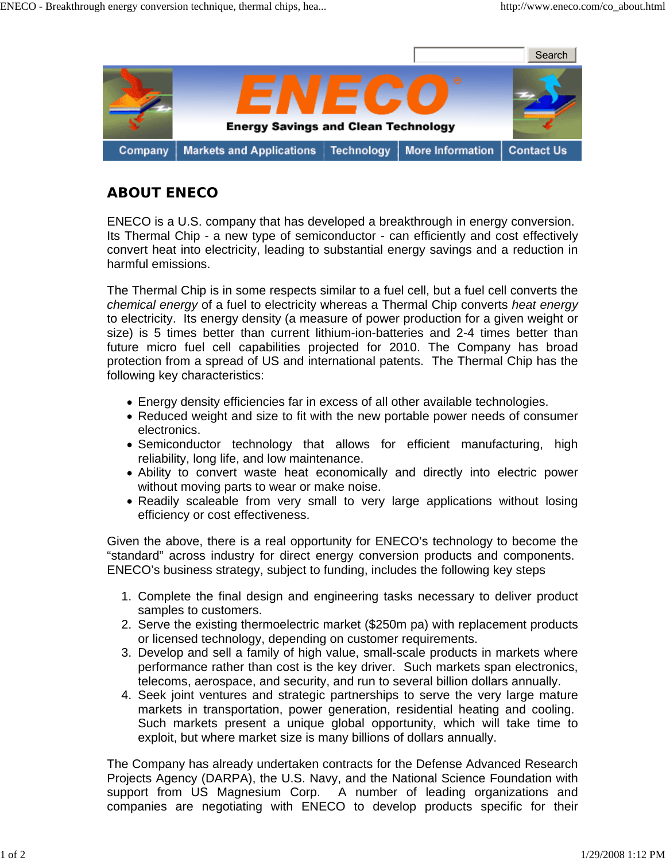

## **ABOUT ENECO**

ENECO is a U.S. company that has developed a breakthrough in energy conversion. Its Thermal Chip - a new type of semiconductor - can efficiently and cost effectively convert heat into electricity, leading to substantial energy savings and a reduction in harmful emissions.

The Thermal Chip is in some respects similar to a fuel cell, but a fuel cell converts the *chemical energy* of a fuel to electricity whereas a Thermal Chip converts *heat energy* to electricity. Its energy density (a measure of power production for a given weight or size) is 5 times better than current lithium-ion-batteries and 2-4 times better than future micro fuel cell capabilities projected for 2010. The Company has broad protection from a spread of US and international patents. The Thermal Chip has the following key characteristics:

- Energy density efficiencies far in excess of all other available technologies.
- Reduced weight and size to fit with the new portable power needs of consumer electronics.
- Semiconductor technology that allows for efficient manufacturing, high reliability, long life, and low maintenance.
- Ability to convert waste heat economically and directly into electric power without moving parts to wear or make noise.
- Readily scaleable from very small to very large applications without losing efficiency or cost effectiveness.

Given the above, there is a real opportunity for ENECO's technology to become the "standard" across industry for direct energy conversion products and components. ENECO's business strategy, subject to funding, includes the following key steps

- 1. Complete the final design and engineering tasks necessary to deliver product samples to customers.
- 2. Serve the existing thermoelectric market (\$250m pa) with replacement products or licensed technology, depending on customer requirements.
- 3. Develop and sell a family of high value, small-scale products in markets where performance rather than cost is the key driver. Such markets span electronics, telecoms, aerospace, and security, and run to several billion dollars annually.
- 4. Seek joint ventures and strategic partnerships to serve the very large mature markets in transportation, power generation, residential heating and cooling. Such markets present a unique global opportunity, which will take time to exploit, but where market size is many billions of dollars annually.

The Company has already undertaken contracts for the Defense Advanced Research Projects Agency (DARPA), the U.S. Navy, and the National Science Foundation with support from US Magnesium Corp. A number of leading organizations and companies are negotiating with ENECO to develop products specific for their